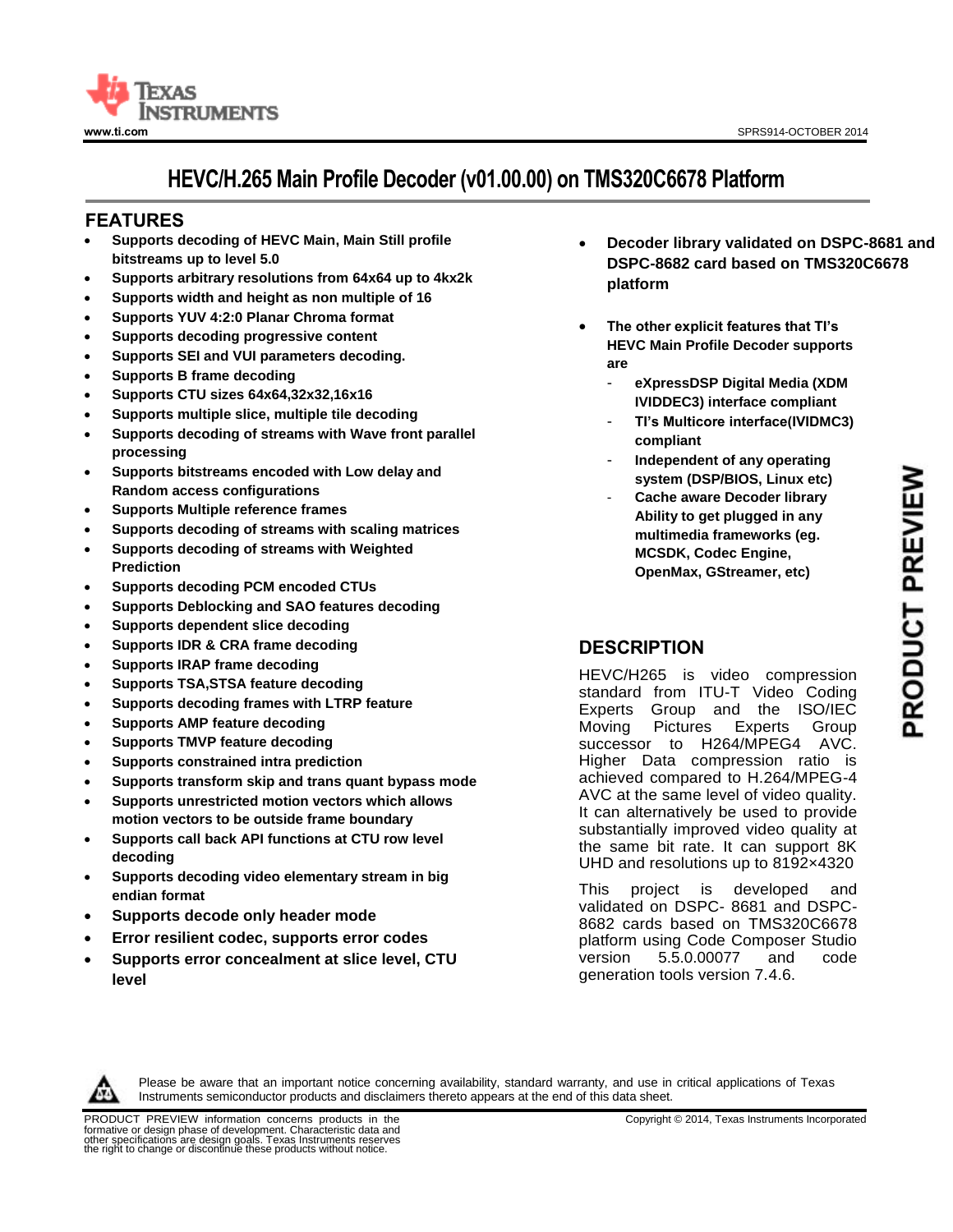

# **HEVC/H.265 Main Profile Decoder (v01.00.00) on TMS320C6678 Platform**

## **<sup>11</sup>FEATURES**

- **Supports decoding of HEVC Main, Main Still profile bitstreams up to level 5.0**
- **Supports arbitrary resolutions from 64x64 up to 4kx2k**
- **Supports width and height as non multiple of 16**
- **Supports YUV 4:2:0 Planar Chroma format**
- **Supports decoding progressive content**
- **Supports SEI and VUI parameters decoding.**
- **Supports B frame decoding**
- **Supports CTU sizes 64x64,32x32,16x16**
- **Supports multiple slice, multiple tile decoding**
- **Supports decoding of streams with Wave front parallel processing**
- **Supports bitstreams encoded with Low delay and Random access configurations**
- **Supports Multiple reference frames**
- **Supports decoding of streams with scaling matrices**
- **Supports decoding of streams with Weighted Prediction**
- **Supports decoding PCM encoded CTUs**
- **Supports Deblocking and SAO features decoding**
- **Supports dependent slice decoding**
- **Supports IDR & CRA frame decoding**
- **Supports IRAP frame decoding**
- **Supports TSA,STSA feature decoding**
- **Supports decoding frames with LTRP feature**
- **Supports AMP feature decoding**
- **Supports TMVP feature decoding**
- **Supports constrained intra prediction**
- **Supports transform skip and trans quant bypass mode**
- **Supports unrestricted motion vectors which allows motion vectors to be outside frame boundary**
- **Supports call back API functions at CTU row level decoding**
- **Supports decoding video elementary stream in big endian format**
- **Supports decode only header mode**
- **Error resilient codec, supports error codes**
- **Supports error concealment at slice level, CTU level**
- **Decoder library validated on DSPC-8681 and DSPC-8682 card based on TMS320C6678 platform**
- **The other explicit features that TI's HEVC Main Profile Decoder supports are**
	- **eXpressDSP Digital Media (XDM IVIDDEC3) interface compliant**
	- **TI's Multicore interface(IVIDMC3) compliant**
	- **Independent of any operating system (DSP/BIOS, Linux etc)**
	- **Cache aware Decoder library Ability to get plugged in any multimedia frameworks (eg. MCSDK, Codec Engine, OpenMax, GStreamer, etc)**

# **DESCRIPTION**

HEVC/H265 is video compression standard from ITU-T Video Coding Experts Group and the ISO/IEC Moving Pictures Experts Group successor to H264/MPEG4 AVC. Higher Data compression ratio is achieved compared to H.264/MPEG-4 AVC at the same level of video quality. It can alternatively be used to provide substantially improved video quality at the same bit rate. It can support 8K UHD and resolutions up to 8192×4320

This project is developed and validated on DSPC- 8681 and DSPC-8682 cards based on TMS320C6678 platform using Code Composer Studio version 5.5.0.00077 and code generation tools version 7.4.6.



Please be aware that an important notice concerning availability, standard warranty, and use in critical applications of Texas Instruments semiconductor products and disclaimers thereto appears at the end of this data sheet.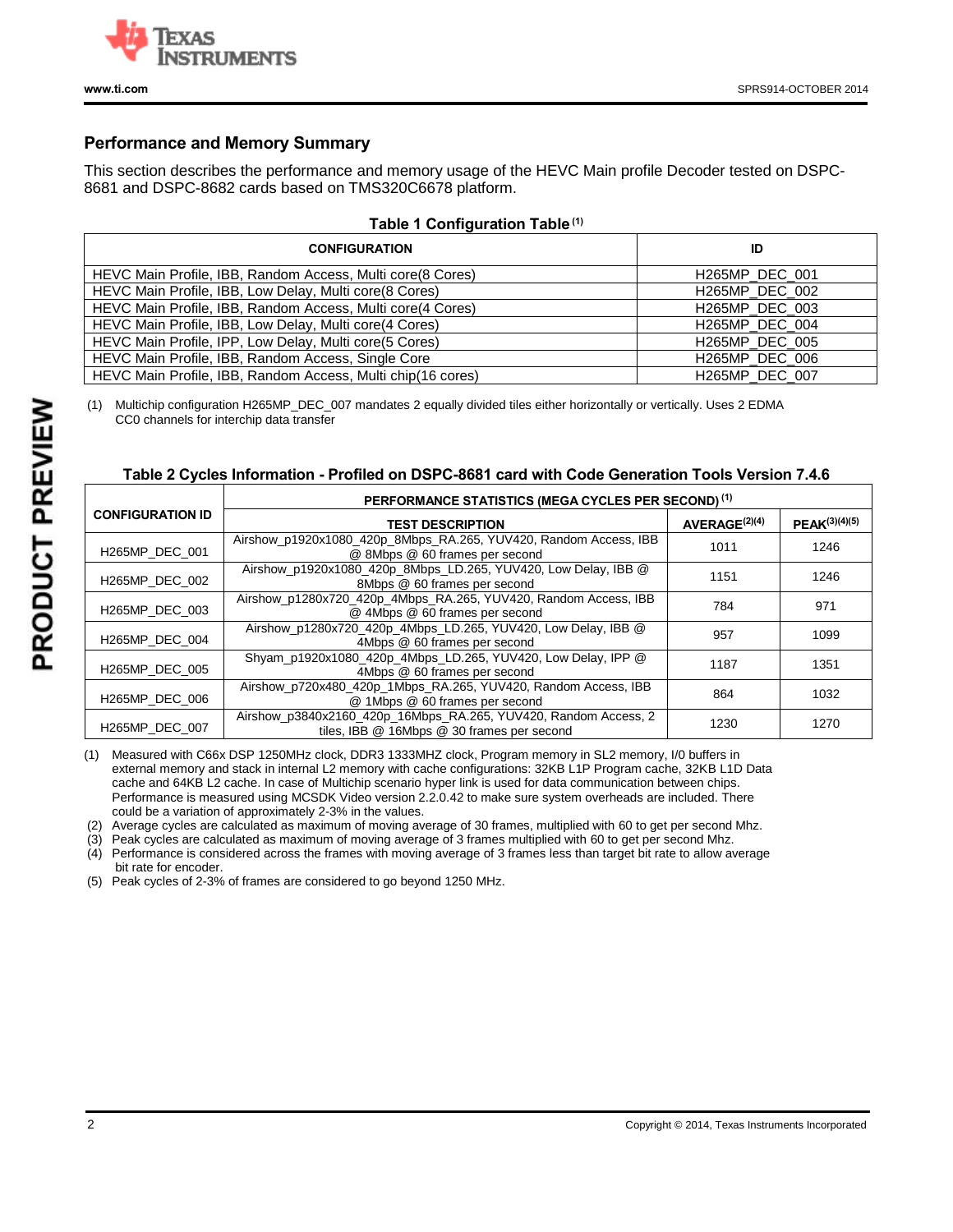

### **Performance and Memory Summary**

This section describes the performance and memory usage of the HEVC Main profile Decoder tested on DSPC-8681 and DSPC-8682 cards based on TMS320C6678 platform.

#### **Table 1 Configuration Table (1)**

| <b>CONFIGURATION</b>                                        | ID                          |
|-------------------------------------------------------------|-----------------------------|
| HEVC Main Profile, IBB, Random Access, Multi core (8 Cores) | H265MP DEC 001              |
| HEVC Main Profile, IBB, Low Delay, Multi core(8 Cores)      | H <sub>265</sub> MP DEC 002 |
| HEVC Main Profile, IBB, Random Access, Multi core(4 Cores)  | H265MP_DEC_003              |
| HEVC Main Profile, IBB, Low Delay, Multi core (4 Cores)     | H265MP DEC 004              |
| HEVC Main Profile, IPP, Low Delay, Multi core(5 Cores)      | H <sub>265</sub> MP DEC 005 |
| HEVC Main Profile, IBB, Random Access, Single Core          | H265MP_DEC_006              |
| HEVC Main Profile, IBB, Random Access, Multi chip(16 cores) | H <sub>265</sub> MP DEC 007 |

(1) Multichip configuration H265MP\_DEC\_007 mandates 2 equally divided tiles either horizontally or vertically. Uses 2 EDMA CC0 channels for interchip data transfer

#### **Table 2 Cycles Information - Profiled on DSPC-8681 card with Code Generation Tools Version 7.4.6**

|                         | PERFORMANCE STATISTICS (MEGA CYCLES PER SECOND) <sup>(1)</sup>                                                |                           |               |  |  |  |  |
|-------------------------|---------------------------------------------------------------------------------------------------------------|---------------------------|---------------|--|--|--|--|
| <b>CONFIGURATION ID</b> | <b>TEST DESCRIPTION</b>                                                                                       | AVERAGE <sup>(2)(4)</sup> | PEAK(3)(4)(5) |  |  |  |  |
| H265MP DEC 001          | Airshow_p1920x1080_420p_8Mbps_RA.265, YUV420, Random Access, IBB<br>@ 8Mbps @ 60 frames per second            | 1011                      | 1246          |  |  |  |  |
| H265MP_DEC 002          | Airshow p1920x1080 420p 8Mbps LD.265, YUV420, Low Delay, IBB @<br>8Mbps @ 60 frames per second                | 1151                      | 1246          |  |  |  |  |
| H265MP DEC 003          | Airshow_p1280x720_420p_4Mbps_RA.265, YUV420, Random Access, IBB<br>@ 4Mbps @ 60 frames per second             | 784                       | 971           |  |  |  |  |
| H265MP_DEC 004          | Airshow_p1280x720_420p_4Mbps_LD.265, YUV420, Low Delay, IBB @<br>4Mbps @ 60 frames per second                 | 957                       | 1099          |  |  |  |  |
| H265MP DEC 005          | Shyam p1920x1080 420p 4Mbps LD.265, YUV420, Low Delay, IPP @<br>4Mbps @ 60 frames per second                  | 1187                      | 1351          |  |  |  |  |
| H265MP_DEC 006          | Airshow_p720x480_420p_1Mbps_RA.265, YUV420, Random Access, IBB<br>@ 1Mbps @ 60 frames per second              | 864                       | 1032          |  |  |  |  |
| H265MP DEC 007          | Airshow p3840x2160 420p 16Mbps RA.265, YUV420, Random Access, 2<br>tiles, IBB @ 16Mbps @ 30 frames per second | 1230                      | 1270          |  |  |  |  |

(1) Measured with C66x DSP 1250MHz clock, DDR3 1333MHZ clock, Program memory in SL2 memory, I/0 buffers in external memory and stack in internal L2 memory with cache configurations: 32KB L1P Program cache, 32KB L1D Data cache and 64KB L2 cache. In case of Multichip scenario hyper link is used for data communication between chips. Performance is measured using MCSDK Video version 2.2.0.42 to make sure system overheads are included. There could be a variation of approximately 2-3% in the values.

(2) Average cycles are calculated as maximum of moving average of 30 frames, multiplied with 60 to get per second Mhz.

(3) Peak cycles are calculated as maximum of moving average of 3 frames multiplied with 60 to get per second Mhz.<br>(4) Performance is considered across the frames with moving average of 3 frames less than target bit rate to

Performance is considered across the frames with moving average of 3 frames less than target bit rate to allow average bit rate for encoder.

(5) Peak cycles of 2-3% of frames are considered to go beyond 1250 MHz.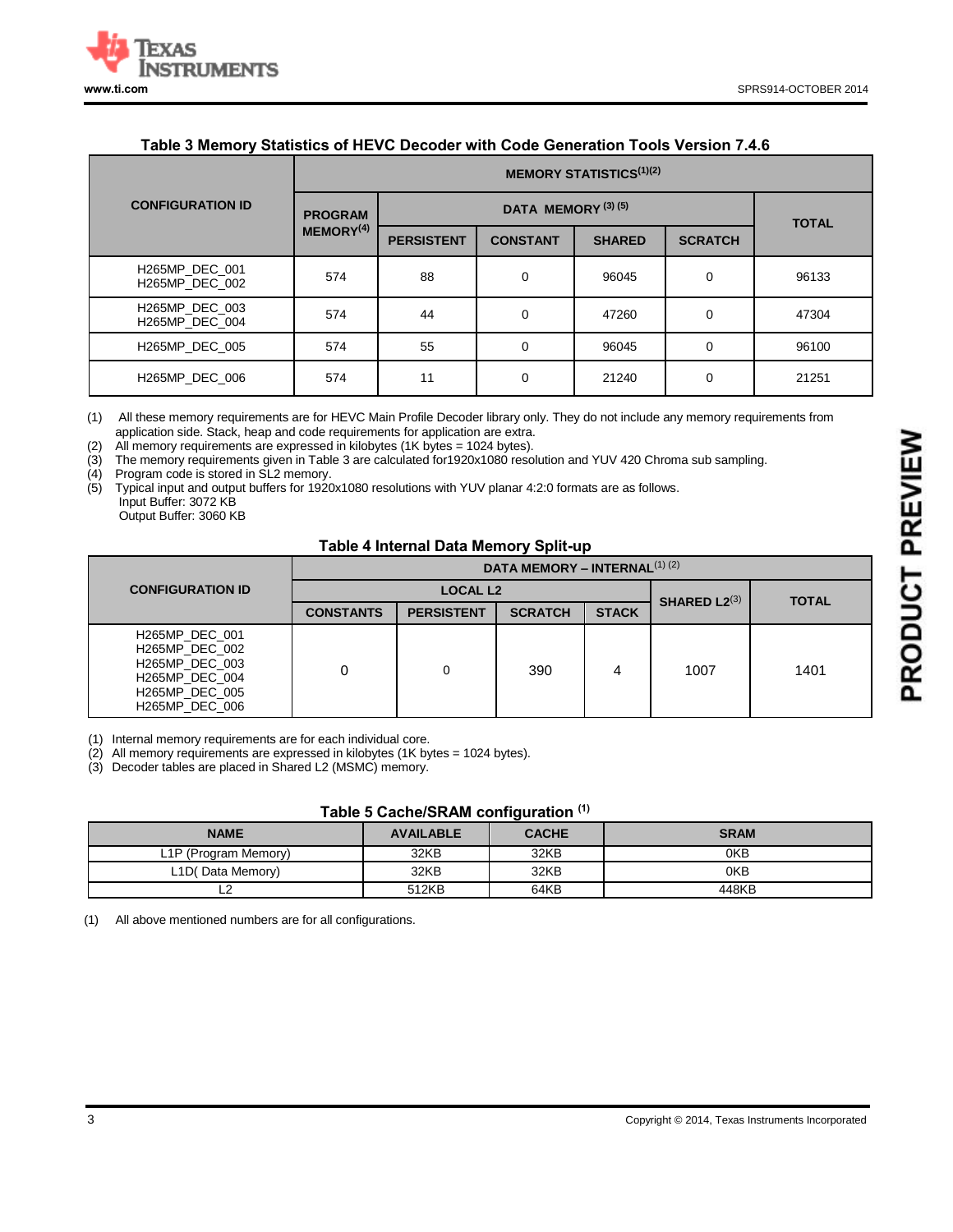

### **Table 3 Memory Statistics of HEVC Decoder with Code Generation Tools Version 7.4.6**

|                                  | <b>MEMORY STATISTICS</b> <sup>(1)(2)</sup> |                   |                 |               |                |       |  |
|----------------------------------|--------------------------------------------|-------------------|-----------------|---------------|----------------|-------|--|
| <b>CONFIGURATION ID</b>          | <b>PROGRAM</b>                             |                   | <b>TOTAL</b>    |               |                |       |  |
|                                  | MEMORY <sup>(4)</sup>                      | <b>PERSISTENT</b> | <b>CONSTANT</b> | <b>SHARED</b> | <b>SCRATCH</b> |       |  |
| H265MP DEC 001<br>H265MP DEC 002 | 574                                        | 88                | $\Omega$        | 96045         | $\Omega$       | 96133 |  |
| H265MP DEC 003<br>H265MP DEC 004 | 574                                        | 44                | $\Omega$        | 47260         | 0              | 47304 |  |
| H265MP DEC 005                   | 574                                        | 55                | $\Omega$        | 96045         | 0              | 96100 |  |
| H265MP DEC 006                   | 574                                        | 11                | $\Omega$        | 21240         | $\Omega$       | 21251 |  |

(1) All these memory requirements are for HEVC Main Profile Decoder library only. They do not include any memory requirements from application side. Stack, heap and code requirements for application are extra.

(2) All memory requirements are expressed in kilobytes (1K bytes = 1024 bytes).

(3) The memory requirements given in Table 3 are calculated for1920x1080 resolution and YUV 420 Chroma sub sampling.

(4) Program code is stored in SL2 memory.<br>(5) Typical input and output buffers for 1920 Typical input and output buffers for 1920x1080 resolutions with YUV planar 4:2:0 formats are as follows. Input Buffer: 3072 KB

Output Buffer: 3060 KB

#### **Table 4 Internal Data Memory Split-up**

|                         |                                                                                                          | DATA MEMORY - INTERNAL <sup>(1)</sup> (2) |                   |                   |              |      |      |
|-------------------------|----------------------------------------------------------------------------------------------------------|-------------------------------------------|-------------------|-------------------|--------------|------|------|
| <b>CONFIGURATION ID</b> |                                                                                                          |                                           | <b>LOCAL L2</b>   | SHARED $L2^{(3)}$ | <b>TOTAL</b> |      |      |
|                         |                                                                                                          | <b>CONSTANTS</b>                          | <b>PERSISTENT</b> | <b>SCRATCH</b>    | <b>STACK</b> |      |      |
|                         | H265MP DEC 001<br>H265MP DEC 002<br>H265MP DEC 003<br>H265MP DEC 004<br>H265MP DEC 005<br>H265MP DEC 006 |                                           |                   | 390               |              | 1007 | 1401 |

(1) Internal memory requirements are for each individual core.

(2) All memory requirements are expressed in kilobytes (1K bytes = 1024 bytes).

(3) Decoder tables are placed in Shared L2 (MSMC) memory.

#### **Table 5 Cache/SRAM configuration (1)**

|                                   |                  | . .          |             |
|-----------------------------------|------------------|--------------|-------------|
| <b>NAME</b>                       | <b>AVAILABLE</b> | <b>CACHE</b> | <b>SRAM</b> |
| L <sub>1</sub> P (Program Memory) | 32KB             | 32KB         | 0KB         |
| L1D(Data Memory)                  | 32KB             | 32KB         | 0KB         |
|                                   | 512KB            | 64KB         | 448KB       |

(1) All above mentioned numbers are for all configurations.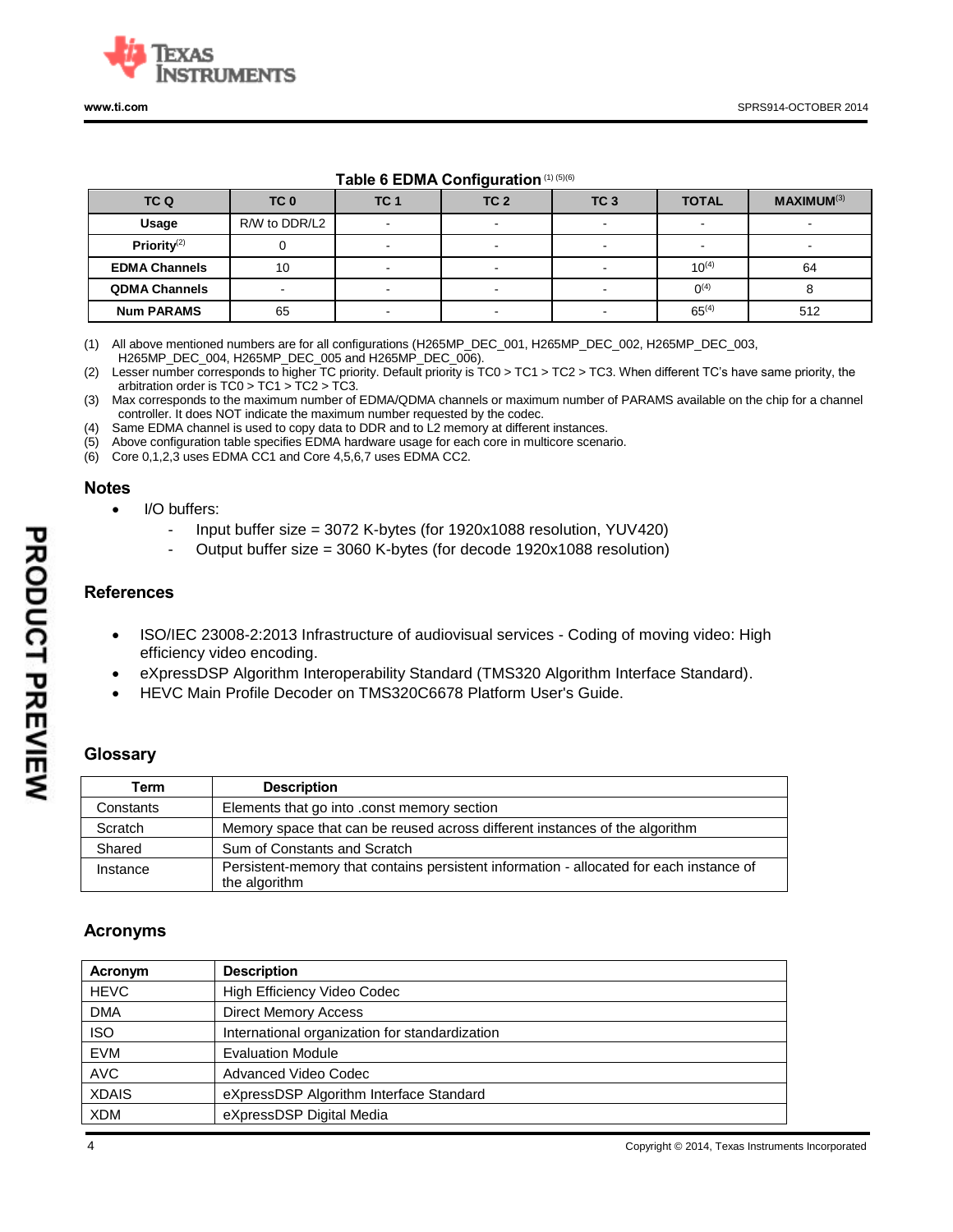

#### **Table 6 EDMA Configuration**(1) (5)(6)

| TC Q                    | TC <sub>0</sub>          | TC <sub>1</sub>          | TC <sub>2</sub> | TC <sub>3</sub> | <b>TOTAL</b>             | <b>MAXIMUM(3)</b> |
|-------------------------|--------------------------|--------------------------|-----------------|-----------------|--------------------------|-------------------|
| Usage                   | R/W to DDR/L2            |                          |                 | -               | $\overline{\phantom{0}}$ |                   |
| Priority <sup>(2)</sup> |                          |                          |                 |                 |                          |                   |
| <b>EDMA Channels</b>    | 10                       | $\sim$                   |                 | -               | $10^{(4)}$               | 64                |
| <b>QDMA Channels</b>    | $\overline{\phantom{a}}$ | $\overline{\phantom{a}}$ |                 | $\blacksquare$  | $0^{(4)}$                |                   |
| <b>Num PARAMS</b>       | 65                       |                          |                 |                 | $65^{(4)}$               | 512               |

(1) All above mentioned numbers are for all configurations (H265MP\_DEC\_001, H265MP\_DEC\_002, H265MP\_DEC\_003, H265MP\_DEC\_004, H265MP\_DEC\_005 and H265MP\_DEC\_006).

(2) Lesser number corresponds to higher TC priority. Default priority is TC0 > TC1 > TC2 > TC3. When different TC's have same priority, the arbitration order is TC0 > TC1 > TC2 > TC3.

(3) Max corresponds to the maximum number of EDMA/QDMA channels or maximum number of PARAMS available on the chip for a channel controller. It does NOT indicate the maximum number requested by the codec.

(4) Same EDMA channel is used to copy data to DDR and to L2 memory at different instances.

(5) Above configuration table specifies EDMA hardware usage for each core in multicore scenario.

(6) Core 0,1,2,3 uses EDMA CC1 and Core 4,5,6,7 uses EDMA CC2.

#### **Notes**

- I/O buffers:
	- Input buffer size = 3072 K-bytes (for 1920x1088 resolution, YUV420)
	- Output buffer size = 3060 K-bytes (for decode 1920x1088 resolution)

#### **References**

- ISO/IEC 23008-2:2013 Infrastructure of audiovisual services Coding of moving video: High efficiency video encoding.
- eXpressDSP Algorithm Interoperability Standard (TMS320 Algorithm Interface Standard).
- HEVC Main Profile Decoder on TMS320C6678 Platform User's Guide.

### **Glossary**

| Term      | <b>Description</b>                                                                      |
|-----------|-----------------------------------------------------------------------------------------|
| Constants | Elements that go into .const memory section                                             |
| Scratch   | Memory space that can be reused across different instances of the algorithm             |
| Shared    | Sum of Constants and Scratch                                                            |
| Instance  | Persistent-memory that contains persistent information - allocated for each instance of |
|           | the algorithm                                                                           |

#### **Acronyms**

| Acronym      | <b>Description</b>                             |
|--------------|------------------------------------------------|
| <b>HEVC</b>  | High Efficiency Video Codec                    |
| <b>DMA</b>   | <b>Direct Memory Access</b>                    |
| <b>ISO</b>   | International organization for standardization |
| <b>EVM</b>   | <b>Evaluation Module</b>                       |
| <b>AVC</b>   | Advanced Video Codec                           |
| <b>XDAIS</b> | eXpressDSP Algorithm Interface Standard        |
| <b>XDM</b>   | eXpressDSP Digital Media                       |